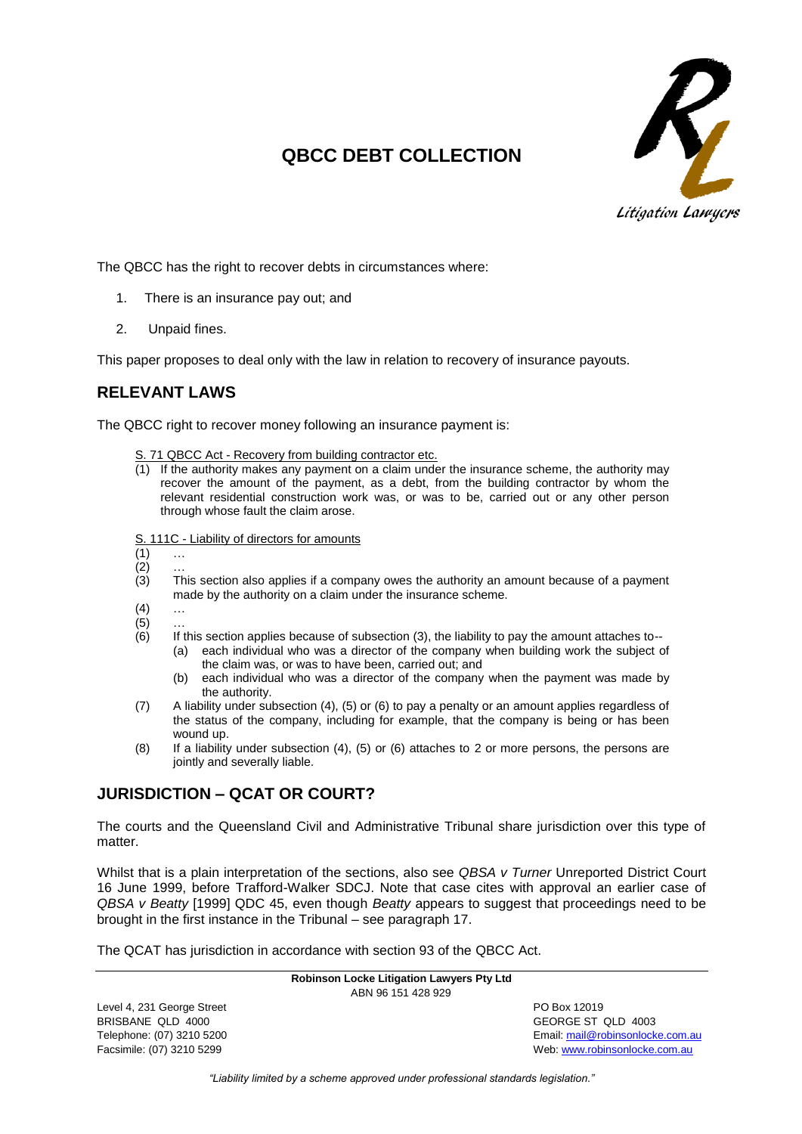

# **QBCC DEBT COLLECTION**

The QBCC has the right to recover debts in circumstances where:

- 1. There is an insurance pay out; and
- 2. Unpaid fines.

This paper proposes to deal only with the law in relation to recovery of insurance payouts.

## **RELEVANT LAWS**

The QBCC right to recover money following an insurance payment is:

- S. 71 QBCC Act Recovery from building contractor etc.
- (1) If the authority makes any payment on a claim under the insurance scheme, the authority may recover the amount of the payment, as a debt, from the building contractor by whom the relevant residential construction work was, or was to be, carried out or any other person through whose fault the claim arose.
- S. 111C Liability of directors for amounts
- $(1)$  ...
- $(2)$ <br> $(3)$ This section also applies if a company owes the authority an amount because of a payment made by the authority on a claim under the insurance scheme.
- $(4)$  ...
- $(5)$
- (6) If this section applies because of subsection (3), the liability to pay the amount attaches to-- (a) each individual who was a director of the company when building work the subject of the claim was, or was to have been, carried out; and
	- (b) each individual who was a director of the company when the payment was made by the authority.
- (7) A liability under subsection (4), (5) or (6) to pay a penalty or an amount applies regardless of the status of the company, including for example, that the company is being or has been wound up.
- (8) If a liability under subsection (4), (5) or (6) attaches to 2 or more persons, the persons are jointly and severally liable.

## **JURISDICTION – QCAT OR COURT?**

The courts and the Queensland Civil and Administrative Tribunal share jurisdiction over this type of matter.

Whilst that is a plain interpretation of the sections, also see *QBSA v Turner* Unreported District Court 16 June 1999, before Trafford-Walker SDCJ. Note that case cites with approval an earlier case of *QBSA v Beatty* [1999] QDC 45, even though *Beatty* appears to suggest that proceedings need to be brought in the first instance in the Tribunal – see paragraph 17.

The QCAT has jurisdiction in accordance with section 93 of the QBCC Act.

|                            | <b>Robinson Locke Litigation Lawyers Pty Ltd</b> |                                  |
|----------------------------|--------------------------------------------------|----------------------------------|
|                            | ABN 96 151 428 929                               |                                  |
| Level 4, 231 George Street |                                                  | PO Box 12019                     |
| BRISBANE QLD 4000          |                                                  | GEORGE ST QLD 4003               |
| Telephone: (07) 3210 5200  |                                                  | Email: mail@robinsonlocke.com.au |
| Facsimile: (07) 3210 5299  |                                                  | Web: www.robinsonlocke.com.au    |

*"Liability limited by a scheme approved under professional standards legislation."*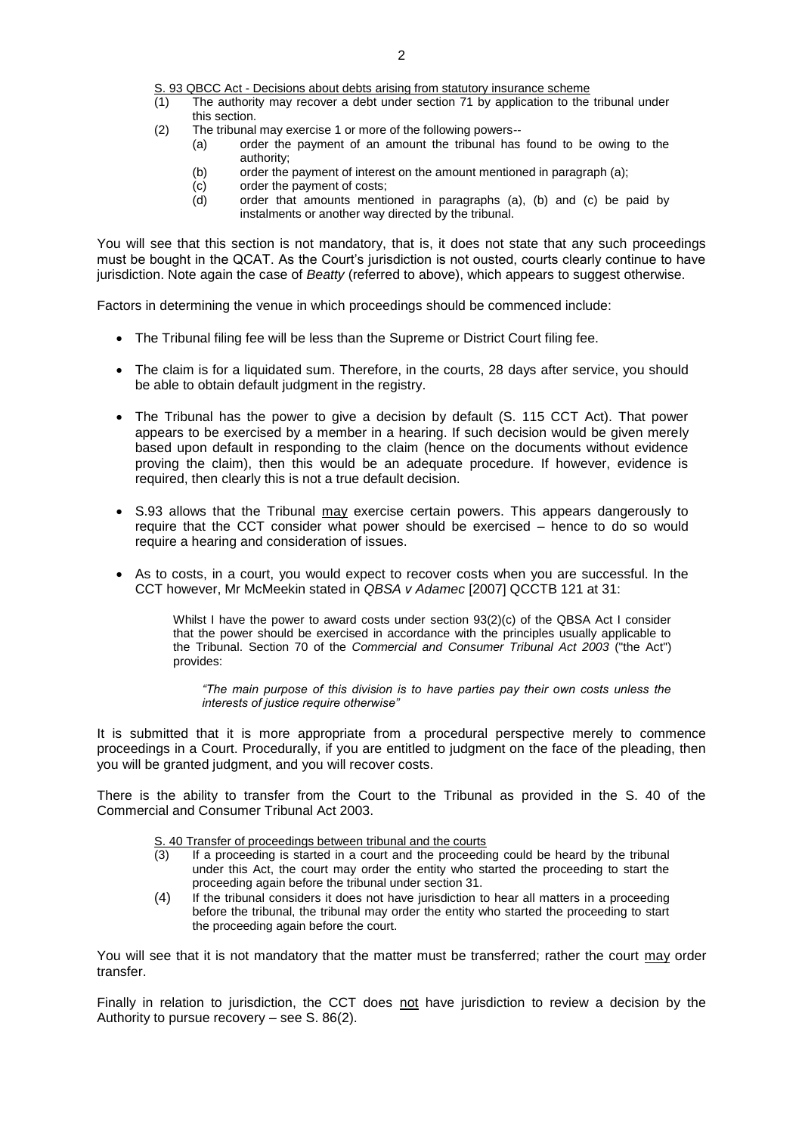S. 93 QBCC Act - Decisions about debts arising from statutory insurance scheme

- (1) The authority may recover a debt under section 71 by application to the tribunal under this section.
- (2) The tribunal may exercise 1 or more of the following powers--
	- (a) order the payment of an amount the tribunal has found to be owing to the authority;
	- (b) order the payment of interest on the amount mentioned in paragraph (a);
	- (c) order the payment of costs;
	- (d) order that amounts mentioned in paragraphs (a), (b) and (c) be paid by instalments or another way directed by the tribunal.

You will see that this section is not mandatory, that is, it does not state that any such proceedings must be bought in the QCAT. As the Court's jurisdiction is not ousted, courts clearly continue to have jurisdiction. Note again the case of *Beatty* (referred to above), which appears to suggest otherwise.

Factors in determining the venue in which proceedings should be commenced include:

- The Tribunal filing fee will be less than the Supreme or District Court filing fee.
- The claim is for a liquidated sum. Therefore, in the courts, 28 days after service, you should be able to obtain default judgment in the registry.
- The Tribunal has the power to give a decision by default (S. 115 CCT Act). That power appears to be exercised by a member in a hearing. If such decision would be given merely based upon default in responding to the claim (hence on the documents without evidence proving the claim), then this would be an adequate procedure. If however, evidence is required, then clearly this is not a true default decision.
- S.93 allows that the Tribunal may exercise certain powers. This appears dangerously to require that the CCT consider what power should be exercised – hence to do so would require a hearing and consideration of issues.
- As to costs, in a court, you would expect to recover costs when you are successful. In the CCT however, Mr McMeekin stated in *QBSA v Adamec* [2007] QCCTB 121 at 31:

Whilst I have the power to award costs under section 93(2)(c) of the QBSA Act I consider that the power should be exercised in accordance with the principles usually applicable to the Tribunal. Section 70 of the *Commercial and Consumer Tribunal Act 2003* ("the Act") provides:

*"The main purpose of this division is to have parties pay their own costs unless the interests of justice require otherwise"*

It is submitted that it is more appropriate from a procedural perspective merely to commence proceedings in a Court. Procedurally, if you are entitled to judgment on the face of the pleading, then you will be granted judgment, and you will recover costs.

There is the ability to transfer from the Court to the Tribunal as provided in the S. 40 of the Commercial and Consumer Tribunal Act 2003.

#### S. 40 Transfer of proceedings between tribunal and the courts

- (3) If a proceeding is started in a court and the proceeding could be heard by the tribunal under this Act, the court may order the entity who started the proceeding to start the proceeding again before the tribunal under section 31.
- (4) If the tribunal considers it does not have jurisdiction to hear all matters in a proceeding before the tribunal, the tribunal may order the entity who started the proceeding to start the proceeding again before the court.

You will see that it is not mandatory that the matter must be transferred; rather the court may order transfer.

Finally in relation to jurisdiction, the CCT does not have jurisdiction to review a decision by the Authority to pursue recovery – see S. 86(2).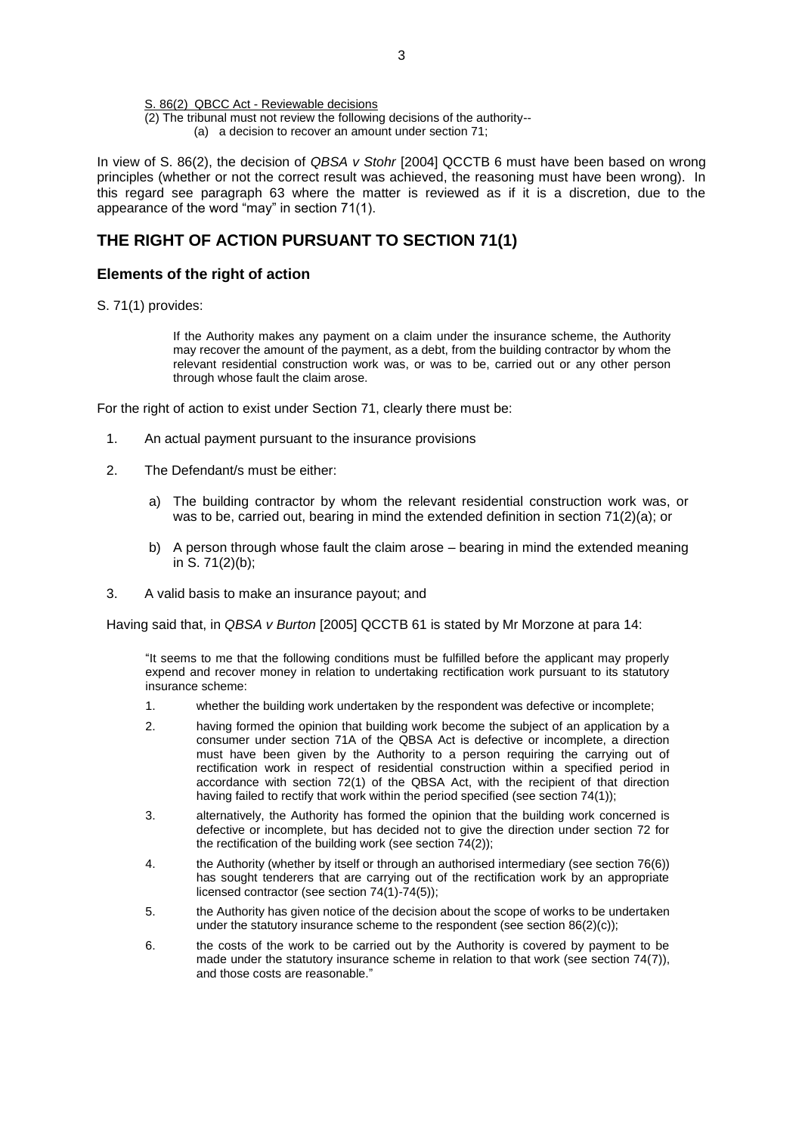#### S. 86(2) QBCC Act - Reviewable decisions

(2) The tribunal must not review the following decisions of the authority-- (a) a decision to recover an amount under section 71;

In view of S. 86(2), the decision of *QBSA v Stohr* [2004] QCCTB 6 must have been based on wrong principles (whether or not the correct result was achieved, the reasoning must have been wrong). In this regard see paragraph 63 where the matter is reviewed as if it is a discretion, due to the appearance of the word "may" in section 71(1).

## **THE RIGHT OF ACTION PURSUANT TO SECTION 71(1)**

### **Elements of the right of action**

S. 71(1) provides:

If the Authority makes any payment on a claim under the insurance scheme, the Authority may recover the amount of the payment, as a debt, from the building contractor by whom the relevant residential construction work was, or was to be, carried out or any other person through whose fault the claim arose.

For the right of action to exist under Section 71, clearly there must be:

- 1. An actual payment pursuant to the insurance provisions
- 2. The Defendant/s must be either:
	- a) The building contractor by whom the relevant residential construction work was, or was to be, carried out, bearing in mind the extended definition in section 71(2)(a); or
	- b) A person through whose fault the claim arose bearing in mind the extended meaning in S. 71(2)(b);
- 3. A valid basis to make an insurance payout; and

Having said that, in *QBSA v Burton* [2005] QCCTB 61 is stated by Mr Morzone at para 14:

"It seems to me that the following conditions must be fulfilled before the applicant may properly expend and recover money in relation to undertaking rectification work pursuant to its statutory insurance scheme:

- 1. whether the building work undertaken by the respondent was defective or incomplete;
- 2. having formed the opinion that building work become the subject of an application by a consumer under section 71A of the QBSA Act is defective or incomplete, a direction must have been given by the Authority to a person requiring the carrying out of rectification work in respect of residential construction within a specified period in accordance with section 72(1) of the QBSA Act, with the recipient of that direction having failed to rectify that work within the period specified (see section 74(1));
- 3. alternatively, the Authority has formed the opinion that the building work concerned is defective or incomplete, but has decided not to give the direction under section 72 for the rectification of the building work (see section 74(2));
- 4. the Authority (whether by itself or through an authorised intermediary (see section 76(6)) has sought tenderers that are carrying out of the rectification work by an appropriate licensed contractor (see section 74(1)-74(5));
- 5. the Authority has given notice of the decision about the scope of works to be undertaken under the statutory insurance scheme to the respondent (see section 86(2)(c));
- 6. the costs of the work to be carried out by the Authority is covered by payment to be made under the statutory insurance scheme in relation to that work (see section 74(7)), and those costs are reasonable."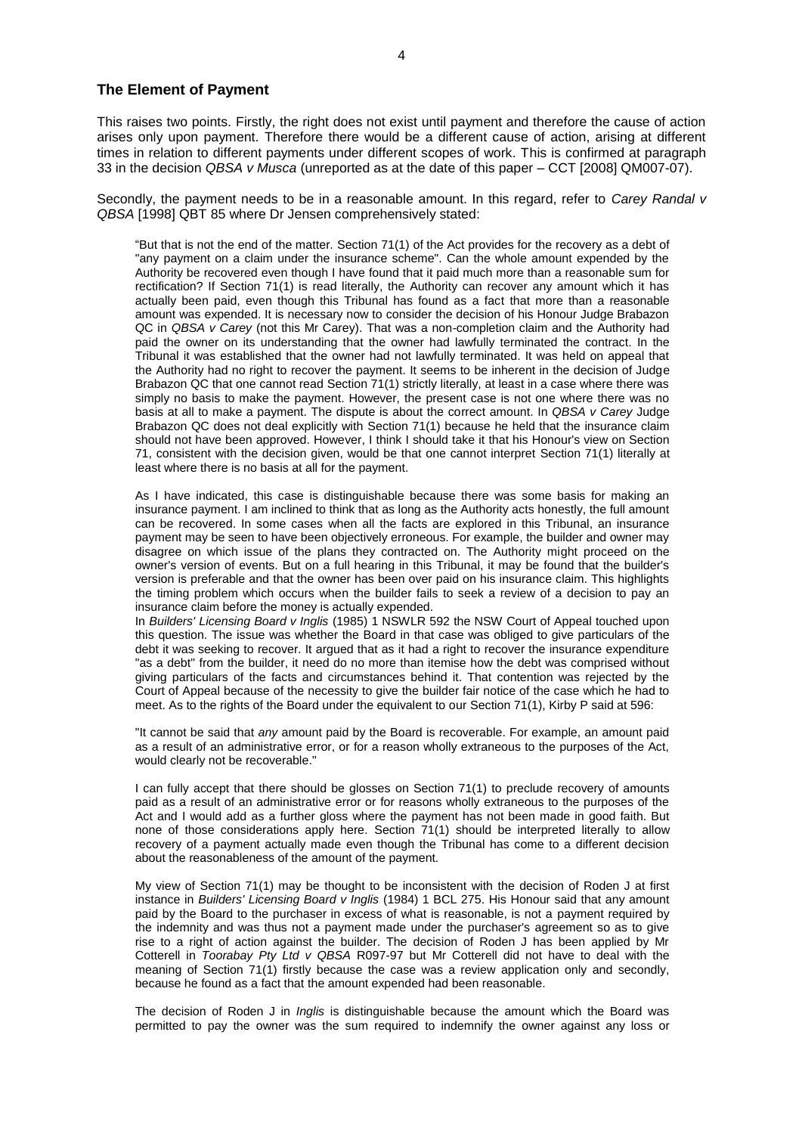#### **The Element of Payment**

This raises two points. Firstly, the right does not exist until payment and therefore the cause of action arises only upon payment. Therefore there would be a different cause of action, arising at different times in relation to different payments under different scopes of work. This is confirmed at paragraph 33 in the decision *QBSA v Musca* (unreported as at the date of this paper – CCT [2008] QM007-07).

Secondly, the payment needs to be in a reasonable amount. In this regard, refer to *Carey Randal v QBSA* [1998] QBT 85 where Dr Jensen comprehensively stated:

"But that is not the end of the matter. Section 71(1) of the Act provides for the recovery as a debt of "any payment on a claim under the insurance scheme". Can the whole amount expended by the Authority be recovered even though I have found that it paid much more than a reasonable sum for rectification? If Section 71(1) is read literally, the Authority can recover any amount which it has actually been paid, even though this Tribunal has found as a fact that more than a reasonable amount was expended. It is necessary now to consider the decision of his Honour Judge Brabazon QC in *QBSA v Carey* (not this Mr Carey). That was a non-completion claim and the Authority had paid the owner on its understanding that the owner had lawfully terminated the contract. In the Tribunal it was established that the owner had not lawfully terminated. It was held on appeal that the Authority had no right to recover the payment. It seems to be inherent in the decision of Judge Brabazon QC that one cannot read Section 71(1) strictly literally, at least in a case where there was simply no basis to make the payment. However, the present case is not one where there was no basis at all to make a payment. The dispute is about the correct amount. In *QBSA v Carey* Judge Brabazon QC does not deal explicitly with [Section 71\(1\)](http://www.austlii.edu.au/au/legis/qld/consol_act/qbsaa1991413/s71.html) because he held that the insurance claim should not have been approved. However, I think I should take it that his Honour's view on Section 71, consistent with the decision given, would be that one cannot interpret [Section 71\(1\)](http://www.austlii.edu.au/au/legis/qld/consol_act/qbsaa1991413/s71.html) literally at least where there is no basis at all for the payment.

As I have indicated, this case is distinguishable because there was some basis for making an insurance payment. I am inclined to think that as long as the Authority acts honestly, the full amount can be recovered. In some cases when all the facts are explored in this Tribunal, an insurance payment may be seen to have been objectively erroneous. For example, the builder and owner may disagree on which issue of the plans they contracted on. The Authority might proceed on the owner's version of events. But on a full hearing in this Tribunal, it may be found that the builder's version is preferable and that the owner has been over paid on his insurance claim. This highlights the timing problem which occurs when the builder fails to seek a review of a decision to pay an insurance claim before the money is actually expended.

In *Builders' Licensing Board v Inglis* (1985) 1 NSWLR 592 the NSW Court of Appeal touched upon this question. The issue was whether the Board in that case was obliged to give particulars of the debt it was seeking to recover. It argued that as it had a right to recover the insurance expenditure "as a debt" from the builder, it need do no more than itemise how the debt was comprised without giving particulars of the facts and circumstances behind it. That contention was rejected by the Court of Appeal because of the necessity to give the builder fair notice of the case which he had to meet. As to the rights of the Board under the equivalent to our [Section 71\(1\),](http://www.austlii.edu.au/au/legis/qld/consol_act/qbsaa1991413/s71.html) Kirby P said at 596:

"It cannot be said that *any* amount paid by the Board is recoverable. For example, an amount paid as a result of an administrative error, or for a reason wholly extraneous to the purposes of the Act, would clearly not be recoverable."

I can fully accept that there should be glosses on [Section 71\(1\)](http://www.austlii.edu.au/au/legis/qld/consol_act/qbsaa1991413/s71.html) to preclude recovery of amounts paid as a result of an administrative error or for reasons wholly extraneous to the purposes of the Act and I would add as a further gloss where the payment has not been made in good faith. But none of those considerations apply here. [Section 71\(1\)](http://www.austlii.edu.au/au/legis/qld/consol_act/qbsaa1991413/s71.html) should be interpreted literally to allow recovery of a payment actually made even though the Tribunal has come to a different decision about the reasonableness of the amount of the payment.

My view of [Section 71\(1\)](http://www.austlii.edu.au/au/legis/qld/consol_act/qbsaa1991413/s71.html) may be thought to be inconsistent with the decision of Roden J at first instance in *Builders' Licensing Board v Inglis* (1984) 1 BCL 275. His Honour said that any amount paid by the Board to the purchaser in excess of what is reasonable, is not a payment required by the indemnity and was thus not a payment made under the purchaser's agreement so as to give rise to a right of action against the builder. The decision of Roden J has been applied by Mr Cotterell in *Toorabay Pty Ltd v QBSA* R097-97 but Mr Cotterell did not have to deal with the meaning of [Section 71\(1\)](http://www.austlii.edu.au/au/legis/qld/consol_act/qbsaa1991413/s71.html) firstly because the case was a review application only and secondly, because he found as a fact that the amount expended had been reasonable.

The decision of Roden J in *Inglis* is distinguishable because the amount which the Board was permitted to pay the owner was the sum required to indemnify the owner against any loss or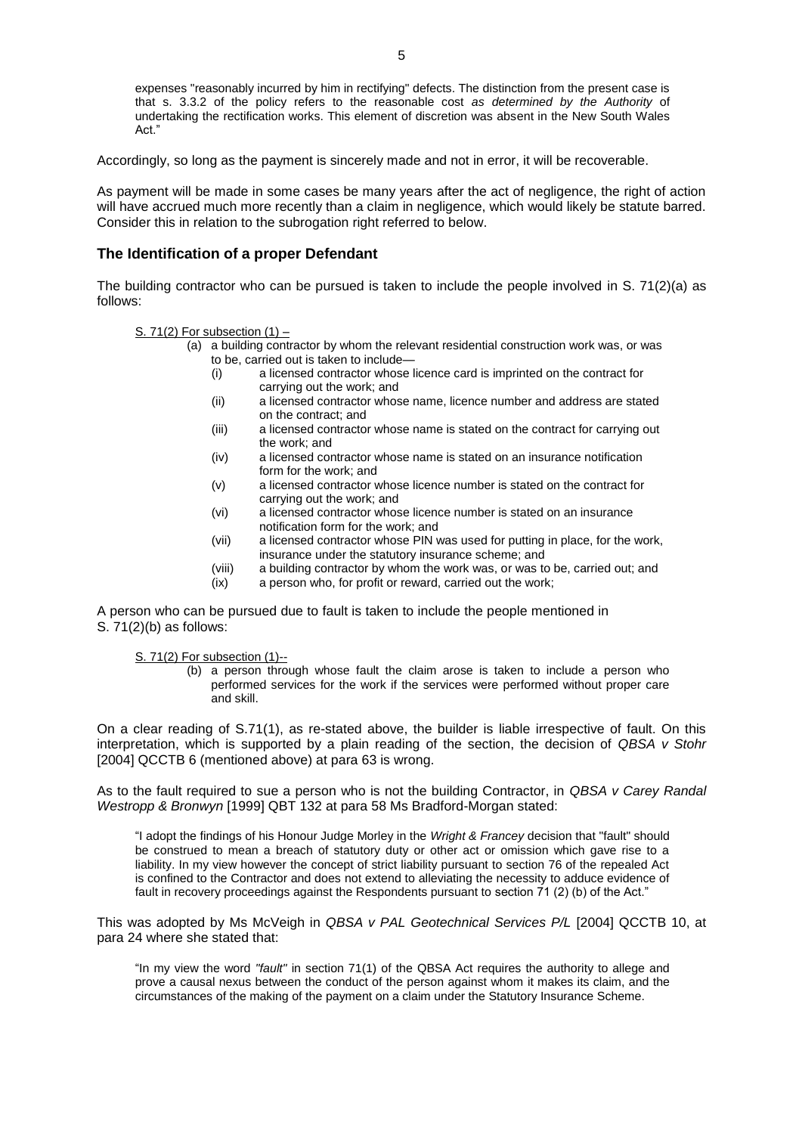expenses "reasonably incurred by him in rectifying" defects. The distinction from the present case is that s. 3.3.2 of the policy refers to the reasonable cost *as determined by the Authority* of undertaking the rectification works. This element of discretion was absent in the New South Wales Act."

Accordingly, so long as the payment is sincerely made and not in error, it will be recoverable.

As payment will be made in some cases be many years after the act of negligence, the right of action will have accrued much more recently than a claim in negligence, which would likely be statute barred. Consider this in relation to the subrogation right referred to below.

#### **The Identification of a proper Defendant**

The building contractor who can be pursued is taken to include the people involved in S. 71(2)(a) as follows:

S. 71(2) For subsection  $(1)$  –

- (a) a building contractor by whom the relevant residential construction work was, or was to be, carried out is taken to include—
	- (i) a licensed contractor whose licence card is imprinted on the contract for carrying out the work; and
	- (ii) a licensed contractor whose name, licence number and address are stated on the contract; and
	- (iii) a licensed contractor whose name is stated on the contract for carrying out the work; and
	- (iv) a licensed contractor whose name is stated on an insurance notification form for the work; and
	- (v) a licensed contractor whose licence number is stated on the contract for carrying out the work; and
	- (vi) a licensed contractor whose licence number is stated on an insurance notification form for the work; and
	- (vii) a licensed contractor whose PIN was used for putting in place, for the work, insurance under the statutory insurance scheme; and
	- (viii) a building contractor by whom the work was, or was to be, carried out; and
	- (ix) a person who, for profit or reward, carried out the work;

A person who can be pursued due to fault is taken to include the people mentioned in S. 71(2)(b) as follows:

S. 71(2) For subsection (1)--

(b) a person through whose fault the claim arose is taken to include a person who performed services for the work if the services were performed without proper care and skill.

On a clear reading of S.71(1), as re-stated above, the builder is liable irrespective of fault. On this interpretation, which is supported by a plain reading of the section, the decision of *QBSA v Stohr* [2004] QCCTB 6 (mentioned above) at para 63 is wrong.

As to the fault required to sue a person who is not the building Contractor, in *QBSA v Carey Randal Westropp & Bronwyn* [1999] QBT 132 at para 58 Ms Bradford-Morgan stated:

"I adopt the findings of his Honour Judge Morley in the *Wright & Francey* decision that "fault" should be construed to mean a breach of statutory duty or other act or omission which gave rise to a liability. In my view however the concept of strict liability pursuant to section 76 of the repealed Act is confined to the Contractor and does not extend to alleviating the necessity to adduce evidence of fault in recovery proceedings against the Respondents pursuant to section 71 (2) (b) of the Act."

This was adopted by Ms McVeigh in *QBSA v PAL Geotechnical Services P/L* [2004] QCCTB 10, at para 24 where she stated that:

"In my view the word *"fault"* in [section 71\(1\)](http://www.austlii.edu.au/au/legis/qld/consol_act/qbsaa1991413/s71.html) of the [QBSA Act](http://www.austlii.edu.au/au/legis/qld/consol_act/qbsaa1991413/) requires the authority to allege and prove a causal nexus between the conduct of the person against whom it makes its claim, and the circumstances of the making of the payment on a claim under the Statutory Insurance Scheme.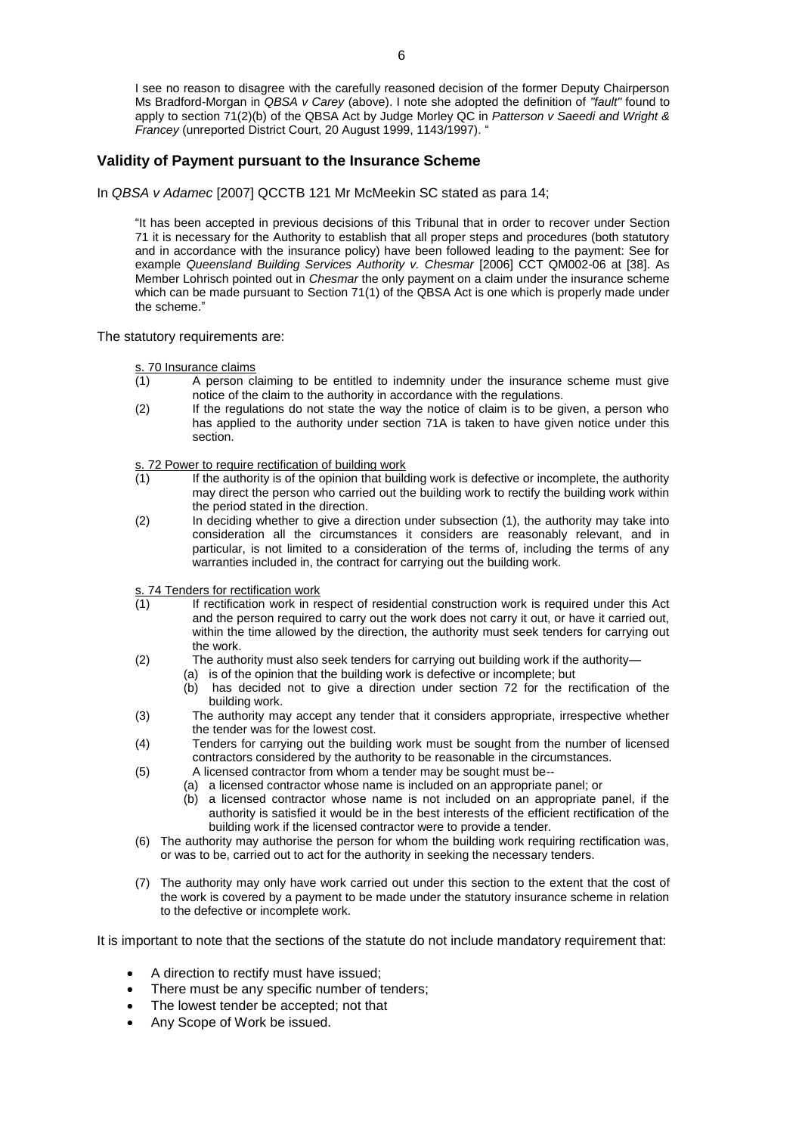I see no reason to disagree with the carefully reasoned decision of the former Deputy Chairperson Ms Bradford-Morgan in *QBSA v Carey* (above). I note she adopted the definition of *"fault"* found to apply to [section 71\(2\)\(b\)](http://www.austlii.edu.au/au/legis/qld/consol_act/qbsaa1991413/s71.html) of the [QBSA Act](http://www.austlii.edu.au/au/legis/qld/consol_act/qbsaa1991413/) by Judge Morley QC in *Patterson v Saeedi and Wright & Francey* (unreported District Court, 20 August 1999, 1143/1997). "

### **Validity of Payment pursuant to the Insurance Scheme**

In *QBSA v Adamec* [2007] QCCTB 121 Mr McMeekin SC stated as para 14;

"It has been accepted in previous decisions of this Tribunal that in order to recover under [Section](http://www.austlii.edu.au/au/legis/qld/consol_act/qbsaa1991413/s71.html)  [71](http://www.austlii.edu.au/au/legis/qld/consol_act/qbsaa1991413/s71.html) it is necessary for the Authority to establish that all proper steps and procedures (both statutory and in accordance with the insurance policy) have been followed leading to the payment: See for example *Queensland Building Services Authority v. Chesmar* [2006] CCT QM002-06 at [38]. As Member Lohrisch pointed out in *Chesmar* the only payment on a claim under the insurance scheme which can be made pursuant to [Section 71\(](http://www.austlii.edu.au/au/legis/qld/consol_act/qbsaa1991413/s71.html)1) of the QBSA Act is one which is properly made under the scheme."

The statutory requirements are:

s. 70 Insurance claims

- (1) A person claiming to be entitled to indemnity under the insurance scheme must give notice of the claim to the authority in accordance with the regulations.
- (2) If the regulations do not state the way the notice of claim is to be given, a person who has applied to the authority under section 71A is taken to have given notice under this section.

s. 72 Power to require rectification of building work

- $(1)$  If the authority is of the opinion that building work is defective or incomplete, the authority may direct the person who carried out the building work to rectify the building work within the period stated in the direction.
- (2) In deciding whether to give a direction under subsection (1), the authority may take into consideration all the circumstances it considers are reasonably relevant, and in particular, is not limited to a consideration of the terms of, including the terms of any warranties included in, the contract for carrying out the building work.

s. 74 Tenders for rectification work

- (1) If rectification work in respect of residential construction work is required under this Act and the person required to carry out the work does not carry it out, or have it carried out, within the time allowed by the direction, the authority must seek tenders for carrying out the work.
- (2) The authority must also seek tenders for carrying out building work if the authority— (a) is of the opinion that the building work is defective or incomplete; but
	- (b) has decided not to give a direction under section 72 for the rectification of the building work.
- (3) The authority may accept any tender that it considers appropriate, irrespective whether the tender was for the lowest cost.
- (4) Tenders for carrying out the building work must be sought from the number of licensed contractors considered by the authority to be reasonable in the circumstances.
- (5) A licensed contractor from whom a tender may be sought must be--
	- (a) a licensed contractor whose name is included on an appropriate panel; or
	- (b) a licensed contractor whose name is not included on an appropriate panel, if the authority is satisfied it would be in the best interests of the efficient rectification of the building work if the licensed contractor were to provide a tender.
- (6) The authority may authorise the person for whom the building work requiring rectification was, or was to be, carried out to act for the authority in seeking the necessary tenders.
- (7) The authority may only have work carried out under this section to the extent that the cost of the work is covered by a payment to be made under the statutory insurance scheme in relation to the defective or incomplete work.

It is important to note that the sections of the statute do not include mandatory requirement that:

- A direction to rectify must have issued;
- There must be any specific number of tenders;
- The lowest tender be accepted; not that
- Any Scope of Work be issued.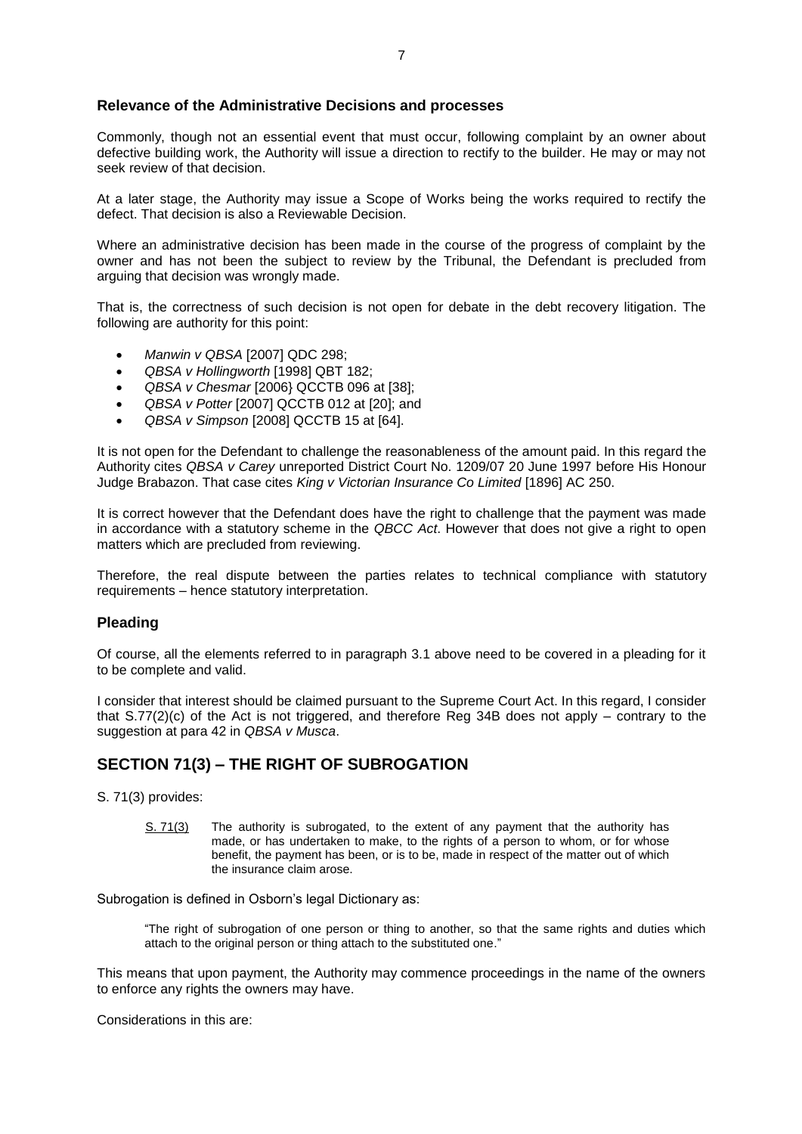### **Relevance of the Administrative Decisions and processes**

Commonly, though not an essential event that must occur, following complaint by an owner about defective building work, the Authority will issue a direction to rectify to the builder. He may or may not seek review of that decision.

At a later stage, the Authority may issue a Scope of Works being the works required to rectify the defect. That decision is also a Reviewable Decision.

Where an administrative decision has been made in the course of the progress of complaint by the owner and has not been the subject to review by the Tribunal, the Defendant is precluded from arguing that decision was wrongly made.

That is, the correctness of such decision is not open for debate in the debt recovery litigation. The following are authority for this point:

- *Manwin v QBSA* [2007] QDC 298;
- *QBSA v Hollingworth* [1998] QBT 182;
- *QBSA v Chesmar* [2006} QCCTB 096 at [38];
- *QBSA v Potter* [2007] QCCTB 012 at [20]; and
- *QBSA v Simpson* [2008] QCCTB 15 at [64].

It is not open for the Defendant to challenge the reasonableness of the amount paid. In this regard the Authority cites *QBSA v Carey* unreported District Court No. 1209/07 20 June 1997 before His Honour Judge Brabazon. That case cites *King v Victorian Insurance Co Limited* [1896] AC 250.

It is correct however that the Defendant does have the right to challenge that the payment was made in accordance with a statutory scheme in the *QBCC Act*. However that does not give a right to open matters which are precluded from reviewing.

Therefore, the real dispute between the parties relates to technical compliance with statutory requirements – hence statutory interpretation.

#### **Pleading**

Of course, all the elements referred to in paragraph 3.1 above need to be covered in a pleading for it to be complete and valid.

I consider that interest should be claimed pursuant to the Supreme Court Act. In this regard, I consider that S.77(2)(c) of the Act is not triggered, and therefore Reg 34B does not apply – contrary to the suggestion at para 42 in *QBSA v Musca*.

## **SECTION 71(3) – THE RIGHT OF SUBROGATION**

S. 71(3) provides:

S. 71(3) The authority is subrogated, to the extent of any payment that the authority has made, or has undertaken to make, to the rights of a person to whom, or for whose benefit, the payment has been, or is to be, made in respect of the matter out of which the insurance claim arose.

Subrogation is defined in Osborn's legal Dictionary as:

"The right of subrogation of one person or thing to another, so that the same rights and duties which attach to the original person or thing attach to the substituted one."

This means that upon payment, the Authority may commence proceedings in the name of the owners to enforce any rights the owners may have.

Considerations in this are: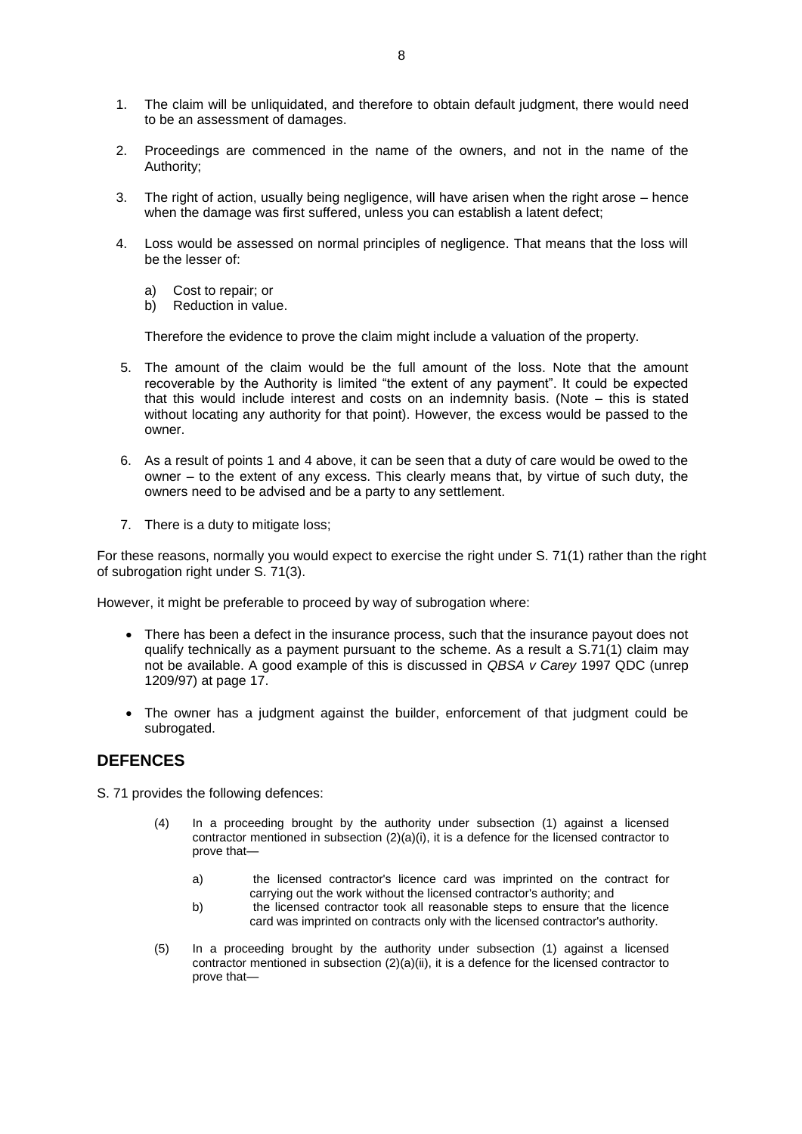- 1. The claim will be unliquidated, and therefore to obtain default judgment, there would need to be an assessment of damages.
- 2. Proceedings are commenced in the name of the owners, and not in the name of the Authority;
- 3. The right of action, usually being negligence, will have arisen when the right arose hence when the damage was first suffered, unless you can establish a latent defect;
- 4. Loss would be assessed on normal principles of negligence. That means that the loss will be the lesser of:
	- a) Cost to repair; or
	- b) Reduction in value.

Therefore the evidence to prove the claim might include a valuation of the property.

- 5. The amount of the claim would be the full amount of the loss. Note that the amount recoverable by the Authority is limited "the extent of any payment". It could be expected that this would include interest and costs on an indemnity basis. (Note – this is stated without locating any authority for that point). However, the excess would be passed to the owner.
- 6. As a result of points 1 and 4 above, it can be seen that a duty of care would be owed to the owner – to the extent of any excess. This clearly means that, by virtue of such duty, the owners need to be advised and be a party to any settlement.
- 7. There is a duty to mitigate loss;

For these reasons, normally you would expect to exercise the right under S. 71(1) rather than the right of subrogation right under S. 71(3).

However, it might be preferable to proceed by way of subrogation where:

- There has been a defect in the insurance process, such that the insurance payout does not qualify technically as a payment pursuant to the scheme. As a result a S.71(1) claim may not be available. A good example of this is discussed in *QBSA v Carey* 1997 QDC (unrep 1209/97) at page 17.
- The owner has a judgment against the builder, enforcement of that judgment could be subrogated.

## **DEFENCES**

S. 71 provides the following defences:

- (4) In a proceeding brought by the authority under subsection (1) against a licensed contractor mentioned in subsection  $(2)(a)(i)$ , it is a defence for the licensed contractor to prove that
	- a) the licensed contractor's licence card was imprinted on the contract for carrying out the work without the licensed contractor's authority; and
	- b) the licensed contractor took all reasonable steps to ensure that the licence card was imprinted on contracts only with the licensed contractor's authority.
- (5) In a proceeding brought by the authority under subsection (1) against a licensed contractor mentioned in subsection  $(2)(a)(ii)$ , it is a defence for the licensed contractor to prove that—